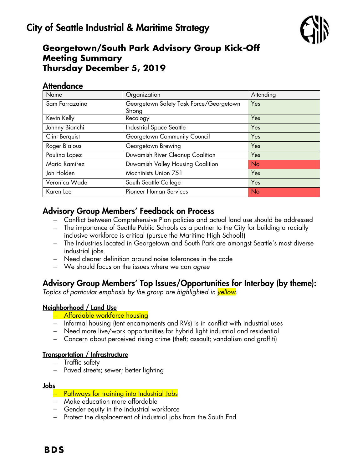

# **Georgetown/South Park Advisory Group Kick-Off Meeting Summary Thursday December 5, 2019**

## **Attendance**

| Name           | Organization                                      | Attending |
|----------------|---------------------------------------------------|-----------|
| Sam Farrazaino | Georgetown Safety Task Force/Georgetown<br>Strong | Yes       |
| Kevin Kelly    | Recology                                          | Yes       |
| Johnny Bianchi | Industrial Space Seattle                          | Yes       |
| Clint Berquist | Georgetown Community Council                      | Yes       |
| Roger Bialous  | Georgetown Brewing                                | Yes       |
| Paulina Lopez  | Duwamish River Cleanup Coalition                  | Yes       |
| Maria Ramirez  | Duwamish Valley Housing Coalition                 | <b>No</b> |
| Jon Holden     | Machinists Union 751                              | Yes       |
| Veronica Wade  | South Seattle College                             | Yes       |
| Karen Lee      | <b>Pioneer Human Services</b>                     | <b>No</b> |

# Advisory Group Members' Feedback on Process

- Conflict between Comprehensive Plan policies and actual land use should be addressed
- The importance of Seattle Public Schools as a partner to the City for building a racially inclusive workforce is critical (pursue the Maritime High School!)
- The Industries located in Georgetown and South Park are amongst Seattle's most diverse industrial jobs.
- Need clearer definition around noise tolerances in the code
- We should focus on the issues where we can *agree*

## Advisory Group Members' Top Issues/Opportunities for Interbay (by theme):

*Topics of particular emphasis by the group are highlighted in yellow.*

## Neighborhood / Land Use

- Affordable workforce housing
- Informal housing (tent encampments and RVs) is in conflict with industrial uses
- Need more live/work opportunities for hybrid light industrial and residential
- Concern about perceived rising crime (theft; assault; vandalism and graffiti)

## Transportation / Infrastructure

- Traffic safety
- Paved streets; sewer; better lighting

#### Jobs

## - Pathways for training into Industrial Jobs

- Make education more affordable
- Gender equity in the industrial workforce
- Protect the displacement of industrial jobs from the South End